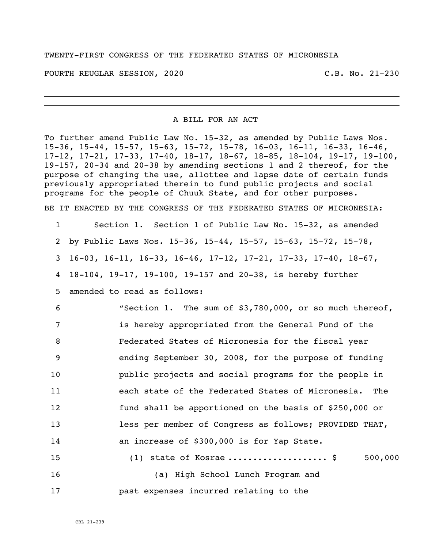TWENTY-FIRST CONGRESS OF THE FEDERATED STATES OF MICRONESIA

FOURTH REUGLAR SESSION, 2020 C.B. No. 21-230

A BILL FOR AN ACT

To further amend Public Law No. 15-32, as amended by Public Laws Nos. 15-36, 15-44, 15-57, 15-63, 15-72, 15-78, 16-03, 16-11, 16-33, 16-46, 17-12, 17-21, 17-33, 17-40, 18-17, 18-67, 18-85, 18-104, 19-17, 19-100, 19-157, 20-34 and 20-38 by amending sections 1 and 2 thereof, for the purpose of changing the use, allottee and lapse date of certain funds previously appropriated therein to fund public projects and social programs for the people of Chuuk State, and for other purposes.

BE IT ENACTED BY THE CONGRESS OF THE FEDERATED STATES OF MICRONESIA:

 Section 1. Section 1 of Public Law No. 15-32, as amended by Public Laws Nos. 15-36, 15-44, 15-57, 15-63, 15-72, 15-78, 16-03, 16-11, 16-33, 16-46, 17-12, 17-21, 17-33, 17-40, 18-67, 18-104, 19-17, 19-100, 19-157 and 20-38, is hereby further

5 amended to read as follows:

 "Section 1. The sum of \$3,780,000, or so much thereof, is hereby appropriated from the General Fund of the Federated States of Micronesia for the fiscal year ending September 30, 2008, for the purpose of funding public projects and social programs for the people in each state of the Federated States of Micronesia. The fund shall be apportioned on the basis of \$250,000 or less per member of Congress as follows; PROVIDED THAT, an increase of \$300,000 is for Yap State. 15 (1) state of Kosrae ..........................\$ 500,000

16 (a) High School Lunch Program and 17 past expenses incurred relating to the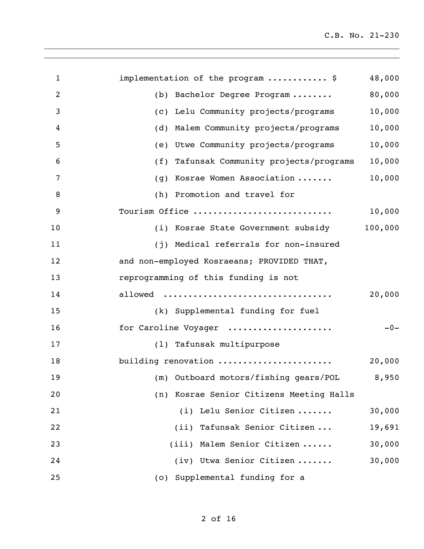| $\mathbf{1}$   | implementation of the program  \$           | 48,000  |
|----------------|---------------------------------------------|---------|
| $\overline{2}$ | Bachelor Degree Program<br>(b)              | 80,000  |
| 3              | (c) Lelu Community projects/programs        | 10,000  |
| 4              | Malem Community projects/programs<br>(d)    | 10,000  |
| 5              | Utwe Community projects/programs<br>(e)     | 10,000  |
| 6              | (f) Tafunsak Community projects/programs    | 10,000  |
| 7              | Kosrae Women Association<br>(g)             | 10,000  |
| 8              | (h) Promotion and travel for                |         |
| 9              | Tourism Office                              | 10,000  |
| 10             | (i) Kosrae State Government subsidy         | 100,000 |
| 11             | (j) Medical referrals for non-insured       |         |
| 12             | and non-employed Kosraeans; PROVIDED THAT,  |         |
| 13             | reprogramming of this funding is not        |         |
| 14             | allowed                                     | 20,000  |
| 15             | (k) Supplemental funding for fuel           |         |
| 16             | for Caroline Voyager                        | $-0-$   |
| 17             | (1) Tafunsak multipurpose                   |         |
| 18             | building renovation                         | 20,000  |
| 19             | (m) Outboard motors/fishing gears/POL 8,950 |         |
| 20             | (n) Kosrae Senior Citizens Meeting Halls    |         |
| 21             | (i) Lelu Senior Citizen                     | 30,000  |
| 22             | (ii) Tafunsak Senior Citizen                | 19,691  |
| 23             | (iii) Malem Senior Citizen                  | 30,000  |
| 24             | (iv) Utwa Senior Citizen                    | 30,000  |
| 25             | (o) Supplemental funding for a              |         |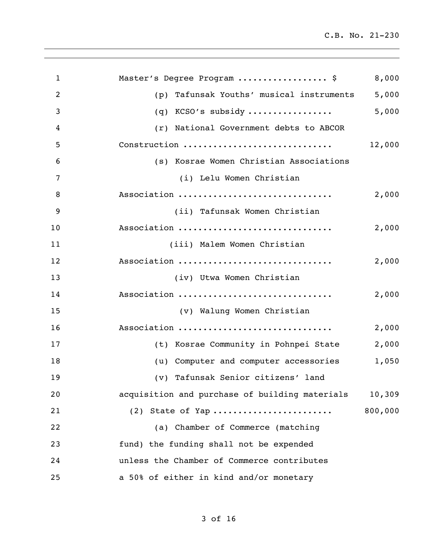| $\mathbf{1}$   | Master's Degree Program  \$                    | 8,000   |
|----------------|------------------------------------------------|---------|
| $\overline{2}$ | Tafunsak Youths' musical instruments<br>(p)    | 5,000   |
| 3              | KCSO's subsidy<br>(q)                          | 5,000   |
| 4              | (r) National Government debts to ABCOR         |         |
| 5              | Construction                                   | 12,000  |
| 6              | (s) Kosrae Women Christian Associations        |         |
| 7              | (i) Lelu Women Christian                       |         |
| 8              | Association                                    | 2,000   |
| 9              | (ii) Tafunsak Women Christian                  |         |
| 10             | Association                                    | 2,000   |
| 11             | (iii) Malem Women Christian                    |         |
| 12             | Association                                    | 2,000   |
| 13             | (iv) Utwa Women Christian                      |         |
| 14             | Association                                    | 2,000   |
| 15             | (v) Walung Women Christian                     |         |
| 16             | Association                                    | 2,000   |
| 17             | (t) Kosrae Community in Pohnpei State          | 2,000   |
| 18             | (u) Computer and computer accessories          | 1,050   |
| 19             | (v) Tafunsak Senior citizens' land             |         |
| 20             | acquisition and purchase of building materials | 10,309  |
| 21             | $(2)$ State of Yap                             | 800,000 |
| 22             | (a) Chamber of Commerce (matching              |         |
| 23             | fund) the funding shall not be expended        |         |
| 24             | unless the Chamber of Commerce contributes     |         |
| 25             | a 50% of either in kind and/or monetary        |         |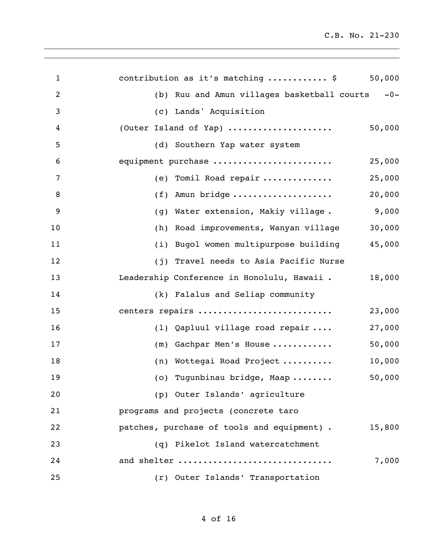| $\mathbf{1}$   | 50,000<br>contribution as it's matching  \$          |
|----------------|------------------------------------------------------|
| $\overline{2}$ | (b) Ruu and Amun villages basketball courts -0-      |
| 3              | (c) Lands' Acquisition                               |
| 4              | 50,000<br>(Outer Island of Yap)                      |
| 5              | (d) Southern Yap water system                        |
| 6              | equipment purchase<br>25,000                         |
| 7              | 25,000<br>(e) Tomil Road repair                      |
| 8              | 20,000<br>Amun bridge<br>(f)                         |
| 9              | 9,000<br>Water extension, Makiy village.<br>(g)      |
| 10             | 30,000<br>Road improvements, Wanyan village<br>(h)   |
| 11             | 45,000<br>(i) Bugol women multipurpose building      |
| 12             | (j) Travel needs to Asia Pacific Nurse               |
| 13             | Leadership Conference in Honolulu, Hawaii.<br>18,000 |
| 14             | (k) Falalus and Seliap community                     |
| 15             | centers repairs<br>23,000                            |
| 16             | 27,000<br>(1) Qapluul village road repair            |
| 17             | 50,000<br>Gachpar Men's House<br>(m)                 |
| 18             | 10,000<br>(n) Wottegai Road Project                  |
| 19             | 50,000<br>(o) Tugunbinau bridge, Maap                |
| 20             | (p) Outer Islands' agriculture                       |
| 21             | programs and projects (concrete taro                 |
| 22             | patches, purchase of tools and equipment).<br>15,800 |
| 23             | (q) Pikelot Island watercatchment                    |
| 24             | 7,000<br>and shelter                                 |
| 25             | (r) Outer Islands' Transportation                    |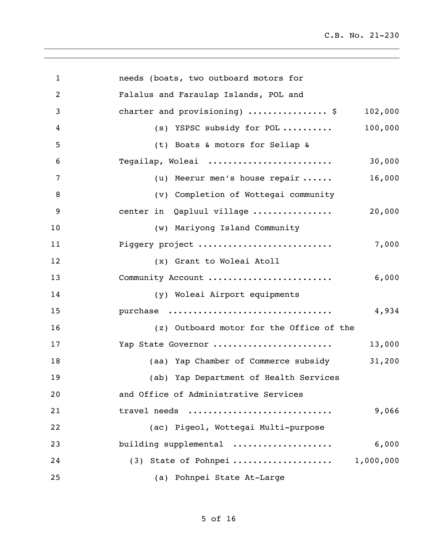| $\mathbf{1}$   | needs (boats, two outboard motors for              |
|----------------|----------------------------------------------------|
| $\overline{2}$ | Falalus and Faraulap Islands, POL and              |
| 3              | 102,000<br>charter and provisioning)  \$           |
| 4              | 100,000<br>(s) YSPSC subsidy for POL               |
| 5              | (t) Boats & motors for Seliap &                    |
| 6              | 30,000<br>Tegailap, Woleai                         |
| 7              | 16,000<br>(u) Meerur men's house repair $\ldots$ . |
| 8              | (v) Completion of Wottegai community               |
| 9              | 20,000<br>center in Qapluul village                |
| 10             | (w) Mariyong Island Community                      |
| 11             | Piggery project<br>7,000                           |
| 12             | (x) Grant to Woleai Atoll                          |
| 13             | 6,000<br>Community Account                         |
| 14             | (y) Woleai Airport equipments                      |
| 15             | 4,934<br>purchase                                  |
| 16             | (z) Outboard motor for the Office of the           |
| 17             | 13,000<br>Yap State Governor                       |
| 18             | 31,200<br>(aa) Yap Chamber of Commerce subsidy     |
| 19             | (ab) Yap Department of Health Services             |
| 20             | and Office of Administrative Services              |
| 21             | travel needs<br>9,066                              |
| 22             | (ac) Pigeol, Wottegai Multi-purpose                |
| 23             | building supplemental<br>6,000                     |
| 24             | (3) State of Pohnpei  1,000,000                    |
| 25             | (a) Pohnpei State At-Large                         |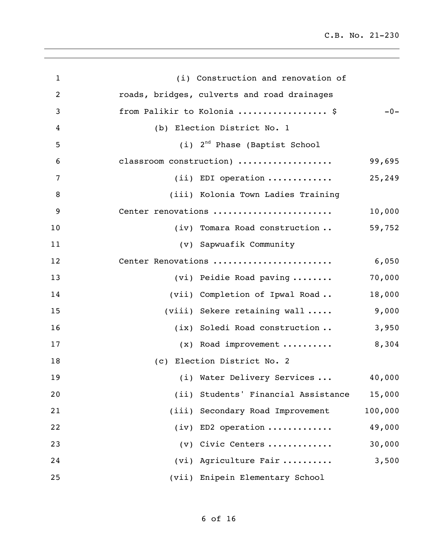| $\mathbf{1}$ | (i) Construction and renovation of          |         |
|--------------|---------------------------------------------|---------|
| 2            | roads, bridges, culverts and road drainages |         |
| 3            | from Palikir to Kolonia  \$                 | $-0-$   |
| 4            | (b) Election District No. 1                 |         |
| 5            | $(i)$ 2 <sup>nd</sup> Phase (Baptist School |         |
| 6            | classroom construction)                     | 99,695  |
| 7            | $(i)$ EDI operation                         | 25,249  |
| 8            | (iii) Kolonia Town Ladies Training          |         |
| 9            | Center renovations                          | 10,000  |
| 10           | (iv) Tomara Road construction               | 59,752  |
| 11           | (v) Sapwuafik Community                     |         |
| 12           | Center Renovations                          | 6,050   |
| 13           | (vi) Peidie Road paving                     | 70,000  |
| 14           | (vii) Completion of Ipwal Road              | 18,000  |
| 15           | $(viii)$ Sekere retaining wall $\dots$ .    | 9,000   |
| 16           | (ix) Soledi Road construction               | 3,950   |
| 17           | $(x)$ Road improvement                      | 8,304   |
| 18           | (c) Election District No. 2                 |         |
| 19           | (i) Water Delivery Services  40,000         |         |
| 20           | (ii) Students' Financial Assistance         | 15,000  |
| 21           | (iii) Secondary Road Improvement            | 100,000 |
| 22           | $(iv)$ ED2 operation                        | 49,000  |
| 23           | $(v)$ Civic Centers                         | 30,000  |
| 24           | (vi) Agriculture Fair                       | 3,500   |
| 25           | (vii) Enipein Elementary School             |         |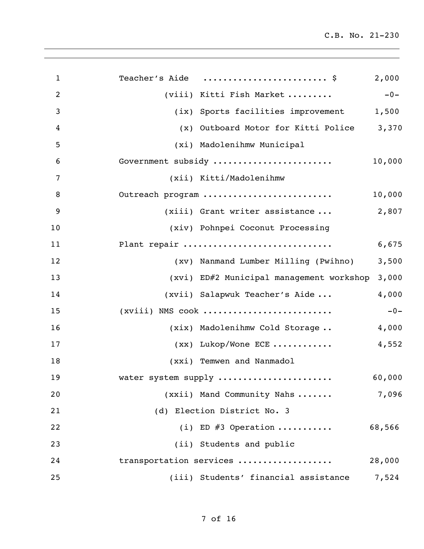| $\mathbf{1}$   | Teacher's Aide  \$<br>2,000                       |       |
|----------------|---------------------------------------------------|-------|
| $\overline{2}$ | $-0-$<br>(viii) Kitti Fish Market                 |       |
| 3              | (ix) Sports facilities improvement<br>1,500       |       |
| 4              | 3,370<br>(x) Outboard Motor for Kitti Police      |       |
| 5              | (xi) Madolenihmw Municipal                        |       |
| 6              | Government subsidy<br>10,000                      |       |
| 7              | (xii) Kitti/Madolenihmw                           |       |
| 8              | Outreach program<br>10,000                        |       |
| 9              | 2,807<br>(xiii) Grant writer assistance           |       |
| 10             | (xiv) Pohnpei Coconut Processing                  |       |
| 11             | Plant repair<br>6,675                             |       |
| 12             | 3,500<br>(xv) Nanmand Lumber Milling (Pwihno)     |       |
| 13             | 3,000<br>(xvi) ED#2 Municipal management workshop |       |
| 14             | 4,000<br>(xvii) Salapwuk Teacher's Aide           |       |
| 15             | $(xviii)$ NMS cook                                | $-0-$ |
| 16             | 4,000<br>(xix) Madolenihmw Cold Storage           |       |
| 17             | 4,552<br>$(xx)$ Lukop/Wone ECE                    |       |
| 18             | (xxi) Temwen and Nanmadol                         |       |
| 19             | 60,000<br>water system supply                     |       |
| 20             | 7,096<br>(xxii) Mand Community Nahs               |       |
| 21             | (d) Election District No. 3                       |       |
| 22             | (i) ED $#3$ Operation<br>68,566                   |       |
| 23             | (ii) Students and public                          |       |
| 24             | transportation services<br>28,000                 |       |
| 25             | (iii) Students' financial assistance<br>7,524     |       |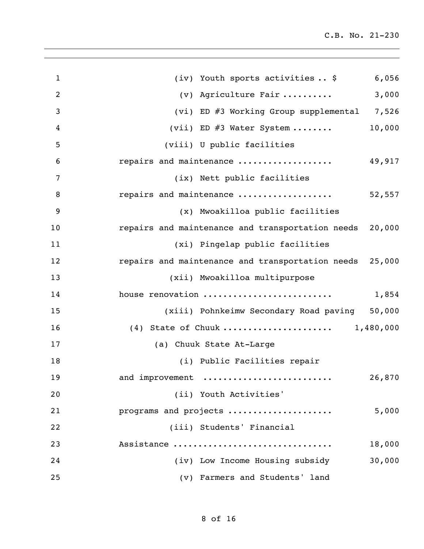| $\mathbf{1}$   | 6,056<br>(iv) Youth sports activities  \$                  |
|----------------|------------------------------------------------------------|
| $\overline{2}$ | 3,000<br>(v) Agriculture Fair                              |
| 3              | (vi) ED #3 Working Group supplemental 7,526                |
| 4              | 10,000<br>(vii) ED $\#3$ Water System                      |
| 5              | (viii) U public facilities                                 |
| 6              | repairs and maintenance<br>49,917                          |
| 7              | (ix) Nett public facilities                                |
| 8              | repairs and maintenance<br>52,557                          |
| 9              | (x) Mwoakilloa public facilities                           |
| 10             | 20,000<br>repairs and maintenance and transportation needs |
| 11             | (xi) Pingelap public facilities                            |
| 12             | repairs and maintenance and transportation needs<br>25,000 |
| 13             | (xii) Mwoakilloa multipurpose                              |
| 14             | house renovation<br>1,854                                  |
| 15             | (xiii) Pohnkeimw Secondary Road paving 50,000              |
| 16             | (4) State of Chuuk  1,480,000                              |
| 17             | (a) Chuuk State At-Large                                   |
| 18             | (i) Public Facilities repair                               |
| 19             | 26,870<br>and improvement                                  |
| 20             | (ii) Youth Activities'                                     |
| 21             | programs and projects<br>5,000                             |
| 22             | (iii) Students' Financial                                  |
| 23             | Assistance<br>18,000                                       |
| 24             | (iv) Low Income Housing subsidy<br>30,000                  |
| 25             | (v) Farmers and Students' land                             |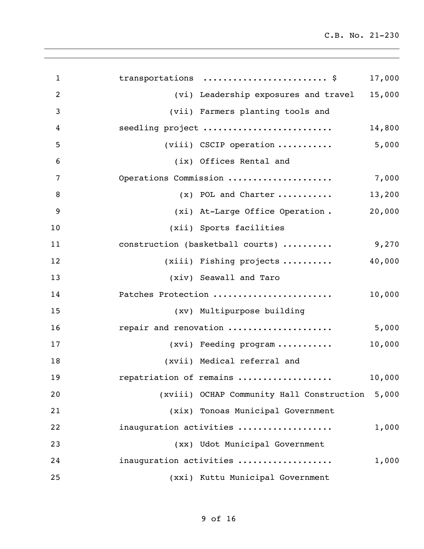| $\mathbf{1}$   | transportations  \$                             | 17,000 |
|----------------|-------------------------------------------------|--------|
| $\overline{2}$ | (vi) Leadership exposures and travel 15,000     |        |
| $\mathbf{3}$   | (vii) Farmers planting tools and                |        |
| 4              | seedling project                                | 14,800 |
| 5              | $(viii)$ CSCIP operation  5,000                 |        |
| 6              | (ix) Offices Rental and                         |        |
| 7              | Operations Commission                           | 7,000  |
| 8              | $(x)$ POL and Charter                           | 13,200 |
| 9              | (xi) At-Large Office Operation.                 | 20,000 |
| 10             | (xii) Sports facilities                         |        |
| 11             | 9,270<br>construction (basketball courts)       |        |
| 12             | $(xiii)$ Fishing projects                       | 40,000 |
| 13             | (xiv) Seawall and Taro                          |        |
| 14             | Patches Protection                              | 10,000 |
| 15             | (xv) Multipurpose building                      |        |
| 16             | repair and renovation                           | 5,000  |
| 17             | (xvi) Feeding program                           | 10,000 |
| 18             | (xvii) Medical referral and                     |        |
| 19             | repatriation of remains                         | 10,000 |
| 20             | (xviii) OCHAP Community Hall Construction 5,000 |        |
| 21             | (xix) Tonoas Municipal Government               |        |
| 22             | inauguration activities                         | 1,000  |
| 23             | (xx) Udot Municipal Government                  |        |
| 24             | inauguration activities                         | 1,000  |
| 25             | (xxi) Kuttu Municipal Government                |        |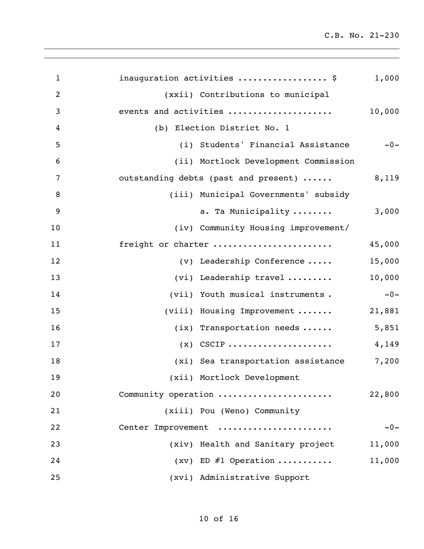| $\mathbf{1}$   | inauguration activities  \$          | 1,000  |
|----------------|--------------------------------------|--------|
| $\overline{2}$ | (xxii) Contributions to municipal    |        |
| 3              | events and activities                | 10,000 |
| 4              | (b) Election District No. 1          |        |
| 5              | (i) Students' Financial Assistance   | $-0-$  |
| 6              | (ii) Mortlock Development Commission |        |
| 7              | outstanding debts (past and present) | 8,119  |
| 8              | (iii) Municipal Governments' subsidy |        |
| 9              | a. Ta Municipality                   | 3,000  |
| 10             | (iv) Community Housing improvement/  |        |
| 11             | freight or charter                   | 45,000 |
| 12             | $(v)$ Leadership Conference          | 15,000 |
| 13             | (vi) Leadership travel               | 10,000 |
| 14             | (vii) Youth musical instruments.     | $-0-$  |
| 15             | (viii) Housing Improvement           | 21,881 |
| 16             | $(ix)$ Transportation needs          | 5,851  |
| 17             | $(x)$ CSCIP                          | 4,149  |
| 18             | (xi) Sea transportation assistance   | 7,200  |
| 19             | (xii) Mortlock Development           |        |
| 20             | Community operation                  | 22,800 |
| 21             | (xiii) Pou (Weno) Community          |        |
| 22             | Center Improvement                   | $-0-$  |
| 23             | (xiv) Health and Sanitary project    | 11,000 |
| 24             | $(xv)$ ED #1 Operation               | 11,000 |
| 25             | (xvi) Administrative Support         |        |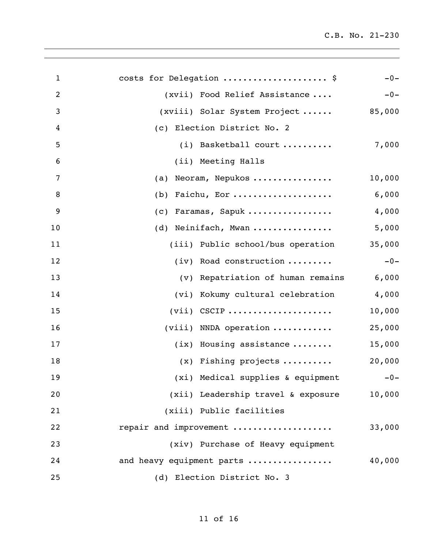| $\mathbf{1}$   | costs for Delegation  \$              | $-0-$  |
|----------------|---------------------------------------|--------|
| $\overline{2}$ | (xvii) Food Relief Assistance         | $-0-$  |
| 3              | (xviii) Solar System Project          | 85,000 |
| 4              | (c) Election District No. 2           |        |
| 5              | $(i)$ Basketball court                | 7,000  |
| 6              | (ii) Meeting Halls                    |        |
| 7              | Neoram, Nepukos<br>(a)                | 10,000 |
| 8              | Faichu, Eor<br>(b)                    | 6,000  |
| 9              | Faramas, Sapuk<br>(c)                 | 4,000  |
| 10             | Neinifach, Mwan<br>(d)                | 5,000  |
| 11             | (iii) Public school/bus operation     | 35,000 |
| 12             | (iv) Road construction                | $-0-$  |
| 13             | (v) Repatriation of human remains     | 6,000  |
| 14             | (vi) Kokumy cultural celebration      | 4,000  |
| 15             | $(vii)$ CSCIP                         | 10,000 |
| 16             | $(viii)$ NNDA operation               | 25,000 |
| 17             | $(ix)$ Housing assistance             | 15,000 |
| 18             | $(x)$ Fishing projects                | 20,000 |
| 19             | (xi) Medical supplies & equipment -0- |        |
| 20             | (xii) Leadership travel & exposure    | 10,000 |
| 21             | (xiii) Public facilities              |        |
| 22             | repair and improvement                | 33,000 |
| 23             | (xiv) Purchase of Heavy equipment     |        |
| 24             | and heavy equipment parts             | 40,000 |
| 25             | (d) Election District No. 3           |        |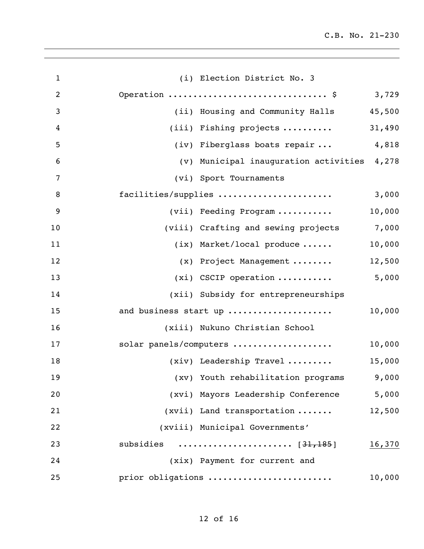| $\mathbf{1}$   | (i) Election District No. 3                     |        |
|----------------|-------------------------------------------------|--------|
| $\overline{2}$ | Operation  \$ 3,729                             |        |
| 3              | (ii) Housing and Community Halls                | 45,500 |
| 4              | $(iii)$ Fishing projects $\ldots \ldots \ldots$ | 31,490 |
| 5              | (iv) Fiberglass boats repair  4,818             |        |
| 6              | (v) Municipal inauguration activities 4,278     |        |
| 7              | (vi) Sport Tournaments                          |        |
| 8              | facilities/supplies                             | 3,000  |
| 9              | (vii) Feeding Program                           | 10,000 |
| 10             | (viii) Crafting and sewing projects 7,000       |        |
| 11             | $(ix)$ Market/local produce                     | 10,000 |
| 12             | (x) Project Management                          | 12,500 |
| 13             | $(xi)$ CSCIP operation  5,000                   |        |
| 14             | (xii) Subsidy for entrepreneurships             |        |
| 15             | and business start up                           | 10,000 |
| 16             | (xiii) Nukuno Christian School                  |        |
| 17             | solar panels/computers                          | 10,000 |
| 18             | $(xiv)$ Leadership Travel                       | 15,000 |
| 19             | (xv) Youth rehabilitation programs              | 9,000  |
| 20             | (xvi) Mayors Leadership Conference              | 5,000  |
| 21             | (xvii) Land transportation                      | 12,500 |
| 22             | (xviii) Municipal Governments'                  |        |
| 23             |                                                 | 16,370 |
| 24             | (xix) Payment for current and                   |        |
| 25             | prior obligations                               | 10,000 |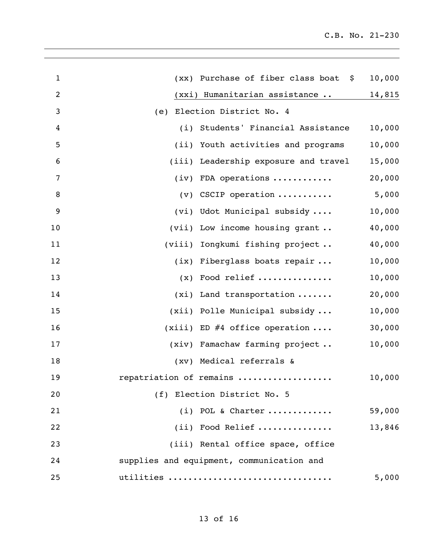| $\mathbf{1}$   | (xx) Purchase of fiber class boat \$      | 10,000 |
|----------------|-------------------------------------------|--------|
| 2              | (xxi) Humanitarian assistance             | 14,815 |
| $\mathfrak{Z}$ | Election District No. 4<br>(e)            |        |
| 4              | (i) Students' Financial Assistance        | 10,000 |
| 5              | (ii) Youth activities and programs        | 10,000 |
| 6              | (iii) Leadership exposure and travel      | 15,000 |
| 7              | $(iv)$ FDA operations                     | 20,000 |
| $\, 8$         | $(v)$ CSCIP operation                     | 5,000  |
| 9              | (vi) Udot Municipal subsidy               | 10,000 |
| 10             | (vii) Low income housing grant            | 40,000 |
| 11             | (viii) Iongkumi fishing project           | 40,000 |
| 12             | (ix) Fiberglass boats repair              | 10,000 |
| 13             | $(x)$ Food relief                         | 10,000 |
| 14             | $(xi)$ Land transportation                | 20,000 |
| 15             | (xii) Polle Municipal subsidy             | 10,000 |
| 16             | $(xiii)$ ED #4 office operation           | 30,000 |
| 17             | (xiv) Famachaw farming project            | 10,000 |
| 18             | (xv) Medical referrals &                  |        |
| 19             | repatriation of remains                   | 10,000 |
| 20             | (f) Election District No. 5               |        |
| 21             | $(i)$ POL & Charter                       | 59,000 |
| 22             | (ii) Food Relief                          | 13,846 |
| 23             | (iii) Rental office space, office         |        |
| 24             | supplies and equipment, communication and |        |
| 25             | utilities                                 | 5,000  |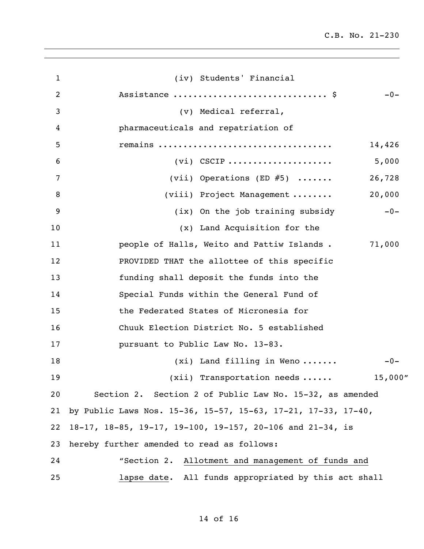| $\mathbf 1$ | (iv) Students' Financial                                      |
|-------------|---------------------------------------------------------------|
| 2           | Assistance  \$<br>$-0-$                                       |
| 3           | (v) Medical referral,                                         |
| 4           | pharmaceuticals and repatriation of                           |
| 5           | remains<br>14,426                                             |
| 6           | $(vi)$ CSCIP<br>5,000                                         |
| 7           | 26,728<br>(vii) Operations (ED $#5$ )                         |
| 8           | 20,000<br>(viii) Project Management                           |
| 9           | (ix) On the job training subsidy<br>$-0-$                     |
| 10          | (x) Land Acquisition for the                                  |
| 11          | 71,000<br>people of Halls, Weito and Pattiw Islands.          |
| 12          | PROVIDED THAT the allottee of this specific                   |
| 13          | funding shall deposit the funds into the                      |
| 14          | Special Funds within the General Fund of                      |
| 15          | the Federated States of Micronesia for                        |
| 16          | Chuuk Election District No. 5 established                     |
| 17          | pursuant to Public Law No. 13-83.                             |
| 18          | $(xi)$ Land filling in Weno<br>$-0-$                          |
| 19          | 15,000''<br>$(xii)$ Transportation needs $\ldots$ .           |
| 20          | Section 2. Section 2 of Public Law No. 15-32, as amended      |
| 21          | by Public Laws Nos. 15-36, 15-57, 15-63, 17-21, 17-33, 17-40, |
| 22          | 18-17, 18-85, 19-17, 19-100, 19-157, 20-106 and 21-34, is     |
| 23          | hereby further amended to read as follows:                    |
| 24          | "Section 2. Allotment and management of funds and             |
| 25          | lapse date. All funds appropriated by this act shall          |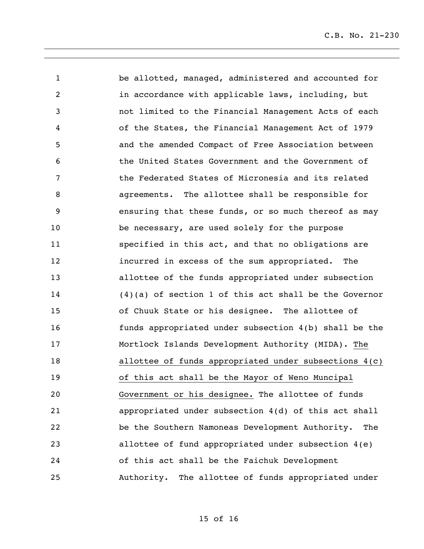be allotted, managed, administered and accounted for in accordance with applicable laws, including, but not limited to the Financial Management Acts of each of the States, the Financial Management Act of 1979 and the amended Compact of Free Association between the United States Government and the Government of the Federated States of Micronesia and its related agreements. The allottee shall be responsible for ensuring that these funds, or so much thereof as may be necessary, are used solely for the purpose specified in this act, and that no obligations are incurred in excess of the sum appropriated. The allottee of the funds appropriated under subsection (4)(a) of section 1 of this act shall be the Governor of Chuuk State or his designee. The allottee of funds appropriated under subsection 4(b) shall be the Mortlock Islands Development Authority (MIDA). The allottee of funds appropriated under subsections 4(c) of this act shall be the Mayor of Weno Muncipal Government or his designee. The allottee of funds appropriated under subsection 4(d) of this act shall be the Southern Namoneas Development Authority. The allottee of fund appropriated under subsection 4(e) of this act shall be the Faichuk Development Authority. The allottee of funds appropriated under